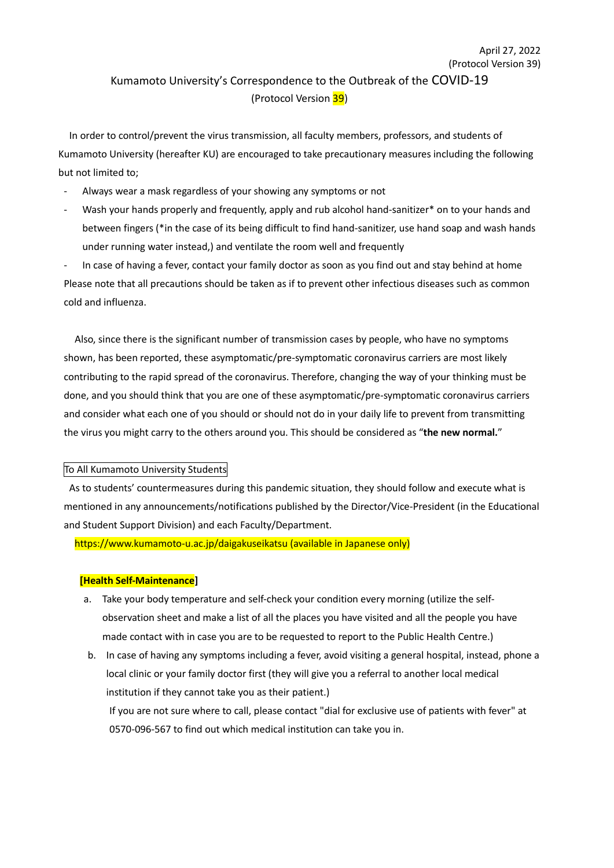# (Protocol Version 39) Kumamoto University's Correspondence to the Outbreak of the COVID-19 (Protocol Version 39)

April 27, 2022

In order to control/prevent the virus transmission, all faculty members, professors, and students of Kumamoto University (hereafter KU) are encouraged to take precautionary measures including the following but not limited to;

- Always wear a mask regardless of your showing any symptoms or not
- Wash your hands properly and frequently, apply and rub alcohol hand-sanitizer\* on to your hands and between fingers (\*in the case of its being difficult to find hand-sanitizer, use hand soap and wash hands under running water instead,) and ventilate the room well and frequently

In case of having a fever, contact your family doctor as soon as you find out and stay behind at home Please note that all precautions should be taken as if to prevent other infectious diseases such as common cold and influenza.

Also, since there is the significant number of transmission cases by people, who have no symptoms shown, has been reported, these asymptomatic/pre-symptomatic coronavirus carriers are most likely contributing to the rapid spread of the coronavirus. Therefore, changing the way of your thinking must be done, and you should think that you are one of these asymptomatic/pre-symptomatic coronavirus carriers and consider what each one of you should or should not do in your daily life to prevent from transmitting the virus you might carry to the others around you. This should be considered as "**the new normal.**"

### To All Kumamoto University Students

As to students' countermeasures during this pandemic situation, they should follow and execute what is mentioned in any announcements/notifications published by the Director/Vice-President (in the Educational and Student Support Division) and each Faculty/Department.

https://www.kumamoto-u.ac.jp/daigakuseikatsu (available in Japanese only)

### **[Health Self-Maintenance]**

- a. Take your body temperature and self-check your condition every morning (utilize the selfobservation sheet and make a list of all the places you have visited and all the people you have made contact with in case you are to be requested to report to the Public Health Centre.)
- b. In case of having any symptoms including a fever, avoid visiting a general hospital, instead, phone a local clinic or your family doctor first (they will give you a referral to another local medical institution if they cannot take you as their patient.)

If you are not sure where to call, please contact "dial for exclusive use of patients with fever" at 0570-096-567 to find out which medical institution can take you in.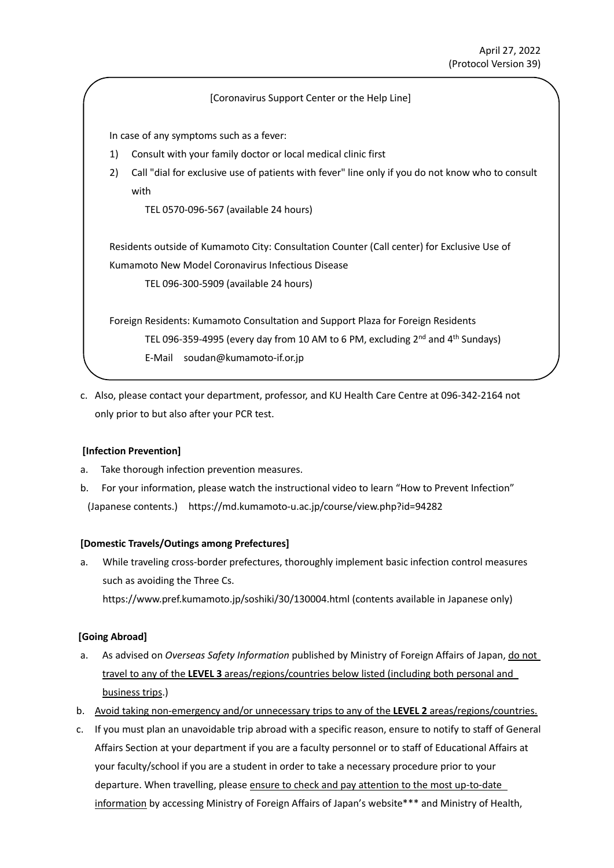### [Coronavirus Support Center or the Help Line]

In case of any symptoms such as a fever:

- 1) Consult with your family doctor or local medical clinic first
- 2) Call "dial for exclusive use of patients with fever" line only if you do not know who to consult with

TEL 0570-096-567 (available 24 hours)

Residents outside of Kumamoto City: Consultation Counter (Call center) for Exclusive Use of Kumamoto New Model Coronavirus Infectious Disease

TEL 096-300-5909 (available 24 hours)

Foreign Residents: Kumamoto Consultation and Support Plaza for Foreign Residents TEL 096-359-4995 (every day from 10 AM to 6 PM, excluding 2<sup>nd</sup> and 4<sup>th</sup> Sundays) E-Mail soudan@kumamoto-if.or.jp

c. Also, please contact your department, professor, and KU Health Care Centre at 096-342-2164 not only prior to but also after your PCR test.

# **[Infection Prevention]**

- a. Take thorough infection prevention measures.
- b. For your information, please watch the instructional video to learn "How to Prevent Infection" (Japanese contents.) https://md.kumamoto-u.ac.jp/course/view.php?id=94282

# **[Domestic Travels/Outings among Prefectures]**

a. While traveling cross-border prefectures, thoroughly implement basic infection control measures such as avoiding the Three Cs. https://www.pref.kumamoto.jp/soshiki/30/130004.html (contents available in Japanese only)

# **[Going Abroad]**

- a. As advised on *Overseas Safety Information* published by Ministry of Foreign Affairs of Japan, do not travel to any of the **LEVEL 3** areas/regions/countries below listed (including both personal and business trips.)
- b. Avoid taking non-emergency and/or unnecessary trips to any of the **LEVEL 2** areas/regions/countries.
- c. If you must plan an unavoidable trip abroad with a specific reason, ensure to notify to staff of General Affairs Section at your department if you are a faculty personnel or to staff of Educational Affairs at your faculty/school if you are a student in order to take a necessary procedure prior to your departure. When travelling, please ensure to check and pay attention to the most up-to-date information by accessing Ministry of Foreign Affairs of Japan's website\*\*\* and Ministry of Health,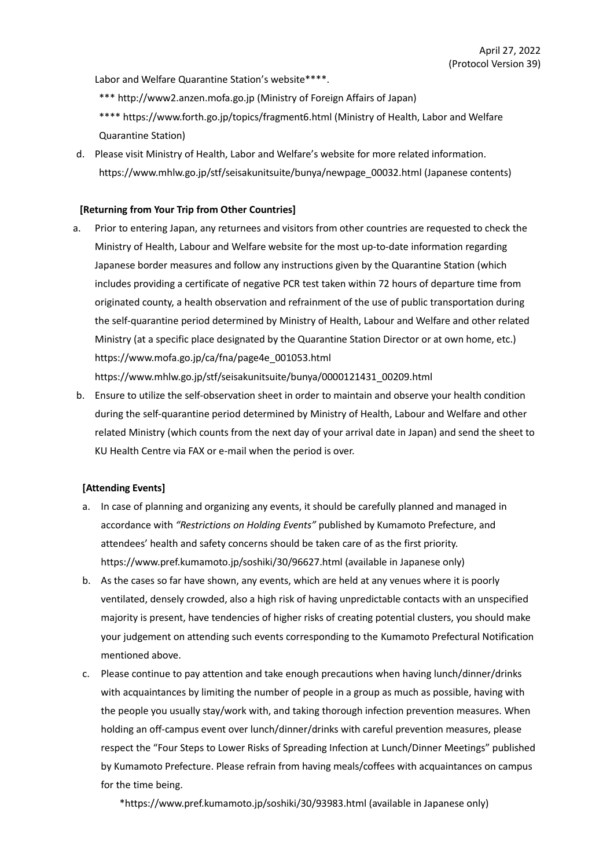Labor and Welfare Quarantine Station's website\*\*\*\*.

- \*\*\* http://www2.anzen.mofa.go.jp (Ministry of Foreign Affairs of Japan)
- \*\*\*\* https://www.forth.go.jp/topics/fragment6.html (Ministry of Health, Labor and Welfare Quarantine Station)
- d. Please visit Ministry of Health, Labor and Welfare's website for more related information. https://www.mhlw.go.jp/stf/seisakunitsuite/bunya/newpage\_00032.html (Japanese contents)

### **[Returning from Your Trip from Other Countries]**

a. Prior to entering Japan, any returnees and visitors from other countries are requested to check the Ministry of Health, Labour and Welfare website for the most up-to-date information regarding Japanese border measures and follow any instructions given by the Quarantine Station (which includes providing a certificate of negative PCR test taken within 72 hours of departure time from originated county, a health observation and refrainment of the use of public transportation during the self-quarantine period determined by Ministry of Health, Labour and Welfare and other related Ministry (at a specific place designated by the Quarantine Station Director or at own home, etc.) https://www.mofa.go.jp/ca/fna/page4e\_001053.html

https://www.mhlw.go.jp/stf/seisakunitsuite/bunya/0000121431\_00209.html

b. Ensure to utilize the self-observation sheet in order to maintain and observe your health condition during the self-quarantine period determined by Ministry of Health, Labour and Welfare and other related Ministry (which counts from the next day of your arrival date in Japan) and send the sheet to KU Health Centre via FAX or e-mail when the period is over.

### **[Attending Events]**

- a. In case of planning and organizing any events, it should be carefully planned and managed in accordance with *"Restrictions on Holding Events"* published by Kumamoto Prefecture, and attendees' health and safety concerns should be taken care of as the first priority. https://www.pref.kumamoto.jp/soshiki/30/96627.html (available in Japanese only)
- b. As the cases so far have shown, any events, which are held at any venues where it is poorly ventilated, densely crowded, also a high risk of having unpredictable contacts with an unspecified majority is present, have tendencies of higher risks of creating potential clusters, you should make your judgement on attending such events corresponding to the Kumamoto Prefectural Notification mentioned above.
- c. Please continue to pay attention and take enough precautions when having lunch/dinner/drinks with acquaintances by limiting the number of people in a group as much as possible, having with the people you usually stay/work with, and taking thorough infection prevention measures. When holding an off-campus event over lunch/dinner/drinks with careful prevention measures, please respect the "Four Steps to Lower Risks of Spreading Infection at Lunch/Dinner Meetings" published by Kumamoto Prefecture. Please refrain from having meals/coffees with acquaintances on campus for the time being.

\*https://www.pref.kumamoto.jp/soshiki/30/93983.html (available in Japanese only)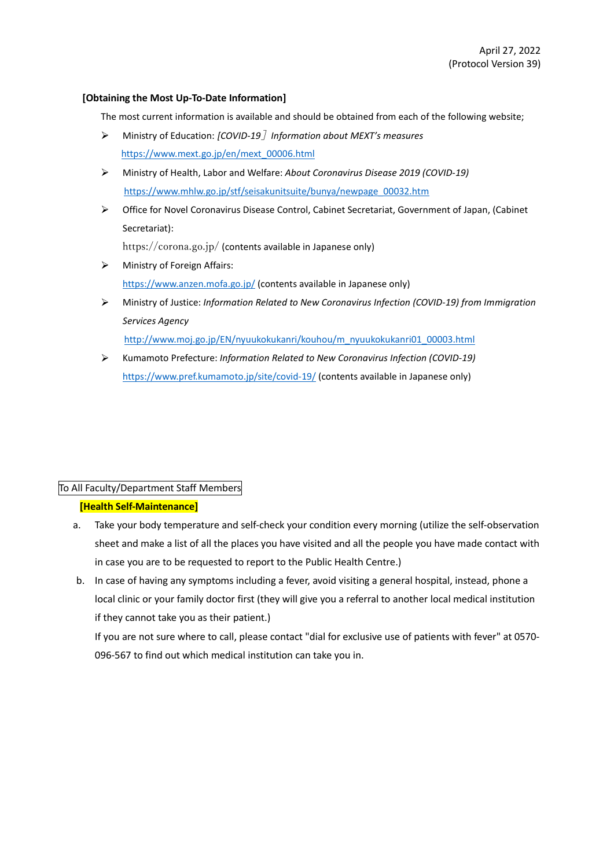### **[Obtaining the Most Up-To-Date Information]**

The most current information is available and should be obtained from each of the following website;

- Ministry of Education: *[COVID-19*]*Information about MEXT's measures* ↘ https://www.mext.go.jp/en/mext\_00006.html
- $\blacktriangleright$ Ministry of Health, Labor and Welfare: *About Coronavirus Disease 2019 (COVID-19)* https://www.mhlw.go.jp/stf/seisakunitsuite/bunya/newpage\_00032.htm
- $\blacktriangleright$ Office for Novel Coronavirus Disease Control, Cabinet Secretariat, Government of Japan, (Cabinet Secretariat):

https://corona.go.jp/ (contents available in Japanese only)

- Ministry of Foreign Affairs: https://www.anzen.mofa.go.jp/ (contents available in Japanese only)
- Ministry of Justice: *Information Related to New Coronavirus Infection (COVID-19) from Immigration* ➤ *Services Agency*

http://www.moj.go.jp/EN/nyuukokukanri/kouhou/m\_nyuukokukanri01\_00003.html

 $\blacktriangleright$ Kumamoto Prefecture: *Information Related to New Coronavirus Infection (COVID-19)* https://www.pref.kumamoto.jp/site/covid-19/ (contents available in Japanese only)

# To All Faculty/Department Staff Members

# **[Health Self-Maintenance]**

- a. Take your body temperature and self-check your condition every morning (utilize the self-observation sheet and make a list of all the places you have visited and all the people you have made contact with in case you are to be requested to report to the Public Health Centre.)
- b. In case of having any symptoms including a fever, avoid visiting a general hospital, instead, phone a local clinic or your family doctor first (they will give you a referral to another local medical institution if they cannot take you as their patient.)

If you are not sure where to call, please contact "dial for exclusive use of patients with fever" at 0570- 096-567 to find out which medical institution can take you in.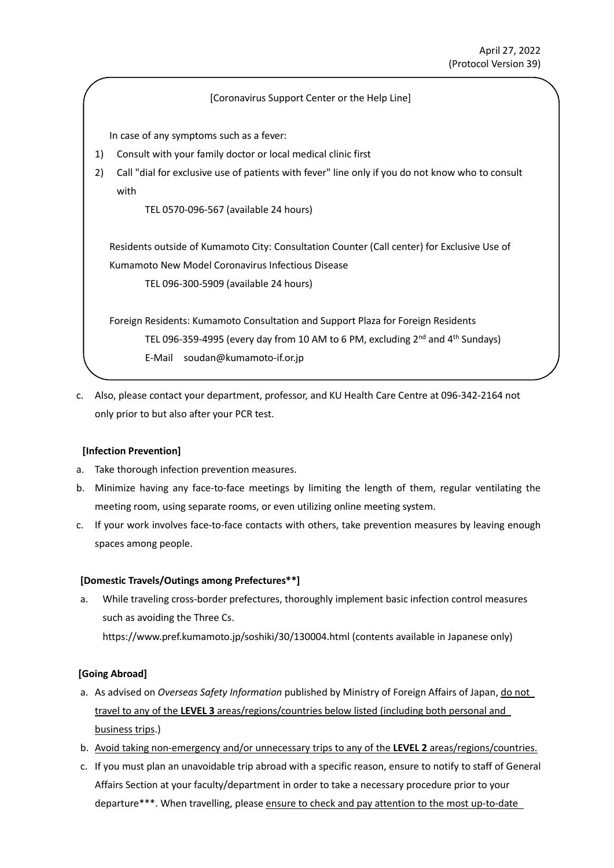### [Coronavirus Support Center or the Help Line]

In case of any symptoms such as a fever:

- 1) Consult with your family doctor or local medical clinic first
- 2) Call "dial for exclusive use of patients with fever" line only if you do not know who to consult with

TEL 0570-096-567 (available 24 hours)

Residents outside of Kumamoto City: Consultation Counter (Call center) for Exclusive Use of Kumamoto New Model Coronavirus Infectious Disease TEL 096-300-5909 (available 24 hours)

Foreign Residents: Kumamoto Consultation and Support Plaza for Foreign Residents TEL 096-359-4995 (every day from 10 AM to 6 PM, excluding 2<sup>nd</sup> and 4<sup>th</sup> Sundays) E-Mail soudan@kumamoto-if.or.jp

c. Also, please contact your department, professor, and KU Health Care Centre at 096-342-2164 not only prior to but also after your PCR test.

### **[Infection Prevention]**

- a. Take thorough infection prevention measures.
- b. Minimize having any face-to-face meetings by limiting the length of them, regular ventilating the meeting room, using separate rooms, or even utilizing online meeting system.
- c. If your work involves face-to-face contacts with others, take prevention measures by leaving enough spaces among people.

### **[Domestic Travels/Outings among Prefectures\*\*]**

a. While traveling cross-border prefectures, thoroughly implement basic infection control measures such as avoiding the Three Cs. https://www.pref.kumamoto.jp/soshiki/30/130004.html (contents available in Japanese only)

# **[Going Abroad]**

- a. As advised on *Overseas Safety Information* published by Ministry of Foreign Affairs of Japan, do not travel to any of the **LEVEL 3** areas/regions/countries below listed (including both personal and business trips.)
- b. Avoid taking non-emergency and/or unnecessary trips to any of the **LEVEL 2** areas/regions/countries.
- c. If you must plan an unavoidable trip abroad with a specific reason, ensure to notify to staff of General Affairs Section at your faculty/department in order to take a necessary procedure prior to your departure\*\*\*. When travelling, please ensure to check and pay attention to the most up-to-date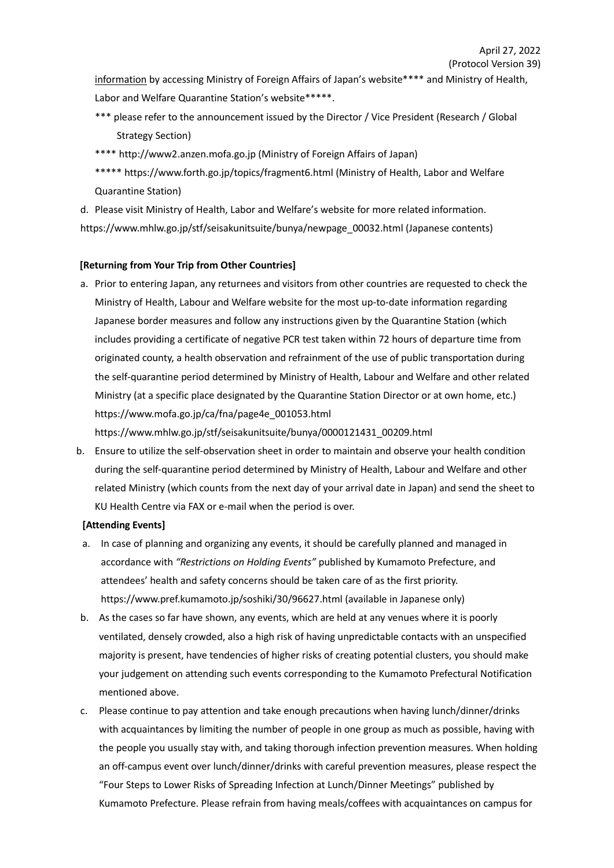information by accessing Ministry of Foreign Affairs of Japan's website\*\*\*\* and Ministry of Health, Labor and Welfare Quarantine Station's website\*\*\*\*\*.

- \*\*\* please refer to the announcement issued by the Director / Vice President (Research / Global Strategy Section)
- \*\*\*\* http://www2.anzen.mofa.go.jp (Ministry of Foreign Affairs of Japan)
- \*\*\*\*\* https://www.forth.go.jp/topics/fragment6.html (Ministry of Health, Labor and Welfare Quarantine Station)

d. Please visit Ministry of Health, Labor and Welfare's website for more related information. https://www.mhlw.go.jp/stf/seisakunitsuite/bunya/newpage\_00032.html (Japanese contents)

# **[Returning from Your Trip from Other Countries]**

a. Prior to entering Japan, any returnees and visitors from other countries are requested to check the Ministry of Health, Labour and Welfare website for the most up-to-date information regarding Japanese border measures and follow any instructions given by the Quarantine Station (which includes providing a certificate of negative PCR test taken within 72 hours of departure time from originated county, a health observation and refrainment of the use of public transportation during the self-quarantine period determined by Ministry of Health, Labour and Welfare and other related Ministry (at a specific place designated by the Quarantine Station Director or at own home, etc.) https://www.mofa.go.jp/ca/fna/page4e\_001053.html

https://www.mhlw.go.jp/stf/seisakunitsuite/bunya/0000121431\_00209.html

b. Ensure to utilize the self-observation sheet in order to maintain and observe your health condition during the self-quarantine period determined by Ministry of Health, Labour and Welfare and other related Ministry (which counts from the next day of your arrival date in Japan) and send the sheet to KU Health Centre via FAX or e-mail when the period is over.

# **[Attending Events]**

- a. In case of planning and organizing any events, it should be carefully planned and managed in accordance with *"Restrictions on Holding Events"* published by Kumamoto Prefecture, and attendees' health and safety concerns should be taken care of as the first priority. https://www.pref.kumamoto.jp/soshiki/30/96627.html (available in Japanese only)
- b. As the cases so far have shown, any events, which are held at any venues where it is poorly ventilated, densely crowded, also a high risk of having unpredictable contacts with an unspecified majority is present, have tendencies of higher risks of creating potential clusters, you should make your judgement on attending such events corresponding to the Kumamoto Prefectural Notification mentioned above.
- c. Please continue to pay attention and take enough precautions when having lunch/dinner/drinks with acquaintances by limiting the number of people in one group as much as possible, having with the people you usually stay with, and taking thorough infection prevention measures. When holding an off-campus event over lunch/dinner/drinks with careful prevention measures, please respect the "Four Steps to Lower Risks of Spreading Infection at Lunch/Dinner Meetings" published by Kumamoto Prefecture. Please refrain from having meals/coffees with acquaintances on campus for